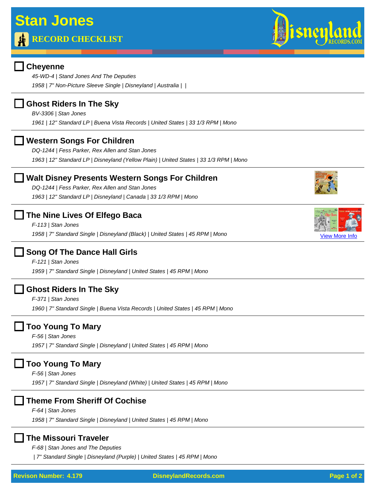*45-WD-4 | Stand Jones And The Deputies 1958 | 7" Non-Picture Sleeve Single | Disneyland | Australia | |* 

### **Ghost Riders In The Sky**

*BV-3306 | Stan Jones*

*1961 | 12" Standard LP | Buena Vista Records | United States | 33 1/3 RPM | Mono*

### **Western Songs For Children**

*DQ-1244 | Fess Parker, Rex Allen and Stan Jones 1963 | 12" Standard LP | Disneyland (Yellow Plain) | United States | 33 1/3 RPM | Mono*

## **Walt Disney Presents Western Songs For Children**

*DQ-1244 | Fess Parker, Rex Allen and Stan Jones 1963 | 12" Standard LP | Disneyland | Canada | 33 1/3 RPM | Mono*

## **The Nine Lives Of Elfego Baca**

*F-113 | Stan Jones* 1958 | 7" Standard Single | Disneyland (Black) | United States | 45 RPM | Mono

## **Song Of The Dance Hall Girls**

*F-121 | Stan Jones 1959 | 7" Standard Single | Disneyland | United States | 45 RPM | Mono*

### **Ghost Riders In The Sky**

*F-371 | Stan Jones 1960 | 7" Standard Single | Buena Vista Records | United States | 45 RPM | Mono*

## **Too Young To Mary**

*F-56 | Stan Jones 1957 | 7" Standard Single | Disneyland | United States | 45 RPM | Mono*

# **Too Young To Mary**

*F-56 | Stan Jones 1957 | 7" Standard Single | Disneyland (White) | United States | 45 RPM | Mono*

## **Theme From Sheriff Of Cochise**

*F-64 | Stan Jones*

*1958 | 7" Standard Single | Disneyland | United States | 45 RPM | Mono*

### **The Missouri Traveler**

*F-68 | Stan Jones and The Deputies*

 *| 7" Standard Single | Disneyland (Purple) | United States | 45 RPM | Mono*